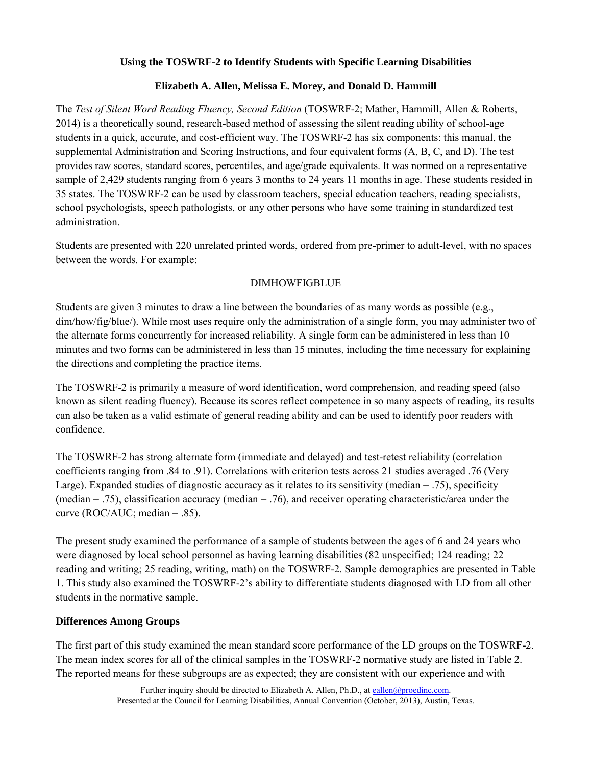# **Using the TOSWRF-2 to Identify Students with Specific Learning Disabilities**

# **Elizabeth A. Allen, Melissa E. Morey, and Donald D. Hammill**

The *Test of Silent Word Reading Fluency, Second Edition* (TOSWRF-2; Mather, Hammill, Allen & Roberts, 2014) is a theoretically sound, research-based method of assessing the silent reading ability of school-age students in a quick, accurate, and cost-efficient way. The TOSWRF-2 has six components: this manual, the supplemental Administration and Scoring Instructions, and four equivalent forms (A, B, C, and D). The test provides raw scores, standard scores, percentiles, and age/grade equivalents. It was normed on a representative sample of 2,429 students ranging from 6 years 3 months to 24 years 11 months in age. These students resided in 35 states. The TOSWRF-2 can be used by classroom teachers, special education teachers, reading specialists, school psychologists, speech pathologists, or any other persons who have some training in standardized test administration.

Students are presented with 220 unrelated printed words, ordered from pre-primer to adult-level, with no spaces between the words. For example:

## DIMHOWFIGBLUE

Students are given 3 minutes to draw a line between the boundaries of as many words as possible (e.g., dim/how/fig/blue/). While most uses require only the administration of a single form, you may administer two of the alternate forms concurrently for increased reliability. A single form can be administered in less than 10 minutes and two forms can be administered in less than 15 minutes, including the time necessary for explaining the directions and completing the practice items.

The TOSWRF-2 is primarily a measure of word identification, word comprehension, and reading speed (also known as silent reading fluency). Because its scores reflect competence in so many aspects of reading, its results can also be taken as a valid estimate of general reading ability and can be used to identify poor readers with confidence.

The TOSWRF-2 has strong alternate form (immediate and delayed) and test-retest reliability (correlation coefficients ranging from .84 to .91). Correlations with criterion tests across 21 studies averaged .76 (Very Large). Expanded studies of diagnostic accuracy as it relates to its sensitivity (median = .75), specificity (median = .75), classification accuracy (median = .76), and receiver operating characteristic/area under the curve (ROC/AUC; median  $= .85$ ).

The present study examined the performance of a sample of students between the ages of 6 and 24 years who were diagnosed by local school personnel as having learning disabilities (82 unspecified; 124 reading; 22 reading and writing; 25 reading, writing, math) on the TOSWRF-2. Sample demographics are presented in Table 1. This study also examined the TOSWRF-2's ability to differentiate students diagnosed with LD from all other students in the normative sample.

## **Differences Among Groups**

The first part of this study examined the mean standard score performance of the LD groups on the TOSWRF-2. The mean index scores for all of the clinical samples in the TOSWRF-2 normative study are listed in Table 2. The reported means for these subgroups are as expected; they are consistent with our experience and with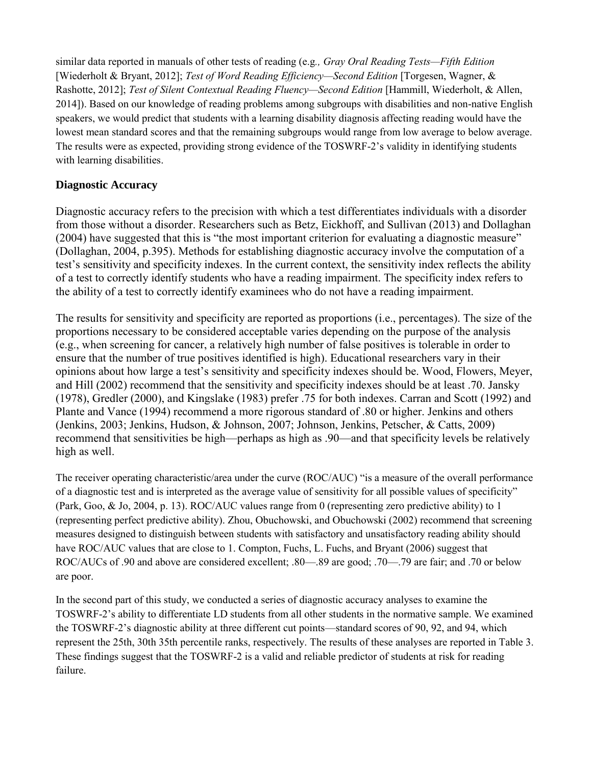similar data reported in manuals of other tests of reading (e.g*., Gray Oral Reading Tests—Fifth Edition* [Wiederholt & Bryant, 2012]; *Test of Word Reading Efficiency—Second Edition* [Torgesen, Wagner, & Rashotte, 2012]; *Test of Silent Contextual Reading Fluency—Second Edition* [Hammill, Wiederholt, & Allen, 2014]). Based on our knowledge of reading problems among subgroups with disabilities and non-native English speakers, we would predict that students with a learning disability diagnosis affecting reading would have the lowest mean standard scores and that the remaining subgroups would range from low average to below average. The results were as expected, providing strong evidence of the TOSWRF-2's validity in identifying students with learning disabilities.

# **Diagnostic Accuracy**

Diagnostic accuracy refers to the precision with which a test differentiates individuals with a disorder from those without a disorder. Researchers such as Betz, Eickhoff, and Sullivan (2013) and Dollaghan (2004) have suggested that this is "the most important criterion for evaluating a diagnostic measure" (Dollaghan, 2004, p.395). Methods for establishing diagnostic accuracy involve the computation of a test's sensitivity and specificity indexes. In the current context, the sensitivity index reflects the ability of a test to correctly identify students who have a reading impairment. The specificity index refers to the ability of a test to correctly identify examinees who do not have a reading impairment.

The results for sensitivity and specificity are reported as proportions (i.e., percentages). The size of the proportions necessary to be considered acceptable varies depending on the purpose of the analysis (e.g., when screening for cancer, a relatively high number of false positives is tolerable in order to ensure that the number of true positives identified is high). Educational researchers vary in their opinions about how large a test's sensitivity and specificity indexes should be. Wood, Flowers, Meyer, and Hill (2002) recommend that the sensitivity and specificity indexes should be at least .70. Jansky (1978), Gredler (2000), and Kingslake (1983) prefer .75 for both indexes. Carran and Scott (1992) and Plante and Vance (1994) recommend a more rigorous standard of .80 or higher. Jenkins and others (Jenkins, 2003; Jenkins, Hudson, & Johnson, 2007; Johnson, Jenkins, Petscher, & Catts, 2009) recommend that sensitivities be high—perhaps as high as .90—and that specificity levels be relatively high as well.

The receiver operating characteristic/area under the curve (ROC/AUC) "is a measure of the overall performance of a diagnostic test and is interpreted as the average value of sensitivity for all possible values of specificity" (Park, Goo, & Jo, 2004, p. 13). ROC/AUC values range from 0 (representing zero predictive ability) to 1 (representing perfect predictive ability). Zhou, Obuchowski, and Obuchowski (2002) recommend that screening measures designed to distinguish between students with satisfactory and unsatisfactory reading ability should have ROC/AUC values that are close to 1. Compton, Fuchs, L. Fuchs, and Bryant (2006) suggest that ROC/AUCs of .90 and above are considered excellent; .80—.89 are good; .70—.79 are fair; and .70 or below are poor.

In the second part of this study, we conducted a series of diagnostic accuracy analyses to examine the TOSWRF-2's ability to differentiate LD students from all other students in the normative sample. We examined the TOSWRF-2's diagnostic ability at three different cut points—standard scores of 90, 92, and 94, which represent the 25th, 30th 35th percentile ranks, respectively. The results of these analyses are reported in Table 3. These findings suggest that the TOSWRF-2 is a valid and reliable predictor of students at risk for reading failure.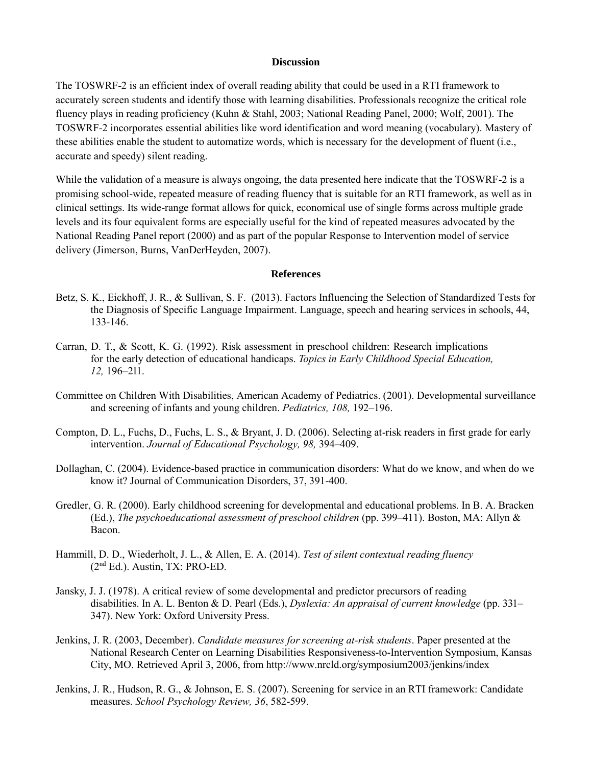### **Discussion**

The TOSWRF-2 is an efficient index of overall reading ability that could be used in a RTI framework to accurately screen students and identify those with learning disabilities. Professionals recognize the critical role fluency plays in reading proficiency (Kuhn & Stahl, 2003; National Reading Panel, 2000; Wolf, 2001). The TOSWRF-2 incorporates essential abilities like word identification and word meaning (vocabulary). Mastery of these abilities enable the student to automatize words, which is necessary for the development of fluent (i.e., accurate and speedy) silent reading.

While the validation of a measure is always ongoing, the data presented here indicate that the TOSWRF-2 is a promising school-wide, repeated measure of reading fluency that is suitable for an RTI framework, as well as in clinical settings. Its wide-range format allows for quick, economical use of single forms across multiple grade levels and its four equivalent forms are especially useful for the kind of repeated measures advocated by the National Reading Panel report (2000) and as part of the popular Response to Intervention model of service delivery (Jimerson, Burns, VanDerHeyden, 2007).

#### **References**

- Betz, S. K., Eickhoff, J. R., & Sullivan, S. F. (2013). Factors Influencing the Selection of Standardized Tests for the Diagnosis of Specific Language Impairment. Language, speech and hearing services in schools, 44, 133-146.
- Carran, D. T., & Scott, K. G. (1992). Risk assessment in preschool children: Research implications for the early detection of educational handicaps. *Topics in Early Childhood Special Education, 12,* 196–211.
- Committee on Children With Disabilities, American Academy of Pediatrics. (2001). Developmental surveillance and screening of infants and young children. *Pediatrics, 108,* 192–196.
- Compton, D. L., Fuchs, D., Fuchs, L. S., & Bryant, J. D. (2006). Selecting at-risk readers in first grade for early intervention. *Journal of Educational Psychology, 98,* 394–409.
- Dollaghan, C. (2004). Evidence-based practice in communication disorders: What do we know, and when do we know it? Journal of Communication Disorders, 37, 391-400.
- Gredler, G. R. (2000). Early childhood screening for developmental and educational problems. In B. A. Bracken (Ed.), *The psychoeducational assessment of preschool children* (pp. 399–411). Boston, MA: Allyn & Bacon.
- Hammill, D. D., Wiederholt, J. L., & Allen, E. A. (2014). *Test of silent contextual reading fluency* (2nd Ed.). Austin, TX: PRO-ED.
- Jansky, J. J. (1978). A critical review of some developmental and predictor precursors of reading disabilities. In A. L. Benton & D. Pearl (Eds.), *Dyslexia: An appraisal of current knowledge* (pp. 331– 347). New York: Oxford University Press.
- Jenkins, J. R. (2003, December). *Candidate measures for screening at-risk students*. Paper presented at the National Research Center on Learning Disabilities Responsiveness-to-Intervention Symposium, Kansas City, MO. Retrieved April 3, 2006, from http://www.nrcld.org/symposium2003/jenkins/index
- Jenkins, J. R., Hudson, R. G., & Johnson, E. S. (2007). Screening for service in an RTI framework: Candidate measures. *School Psychology Review, 36*, 582-599.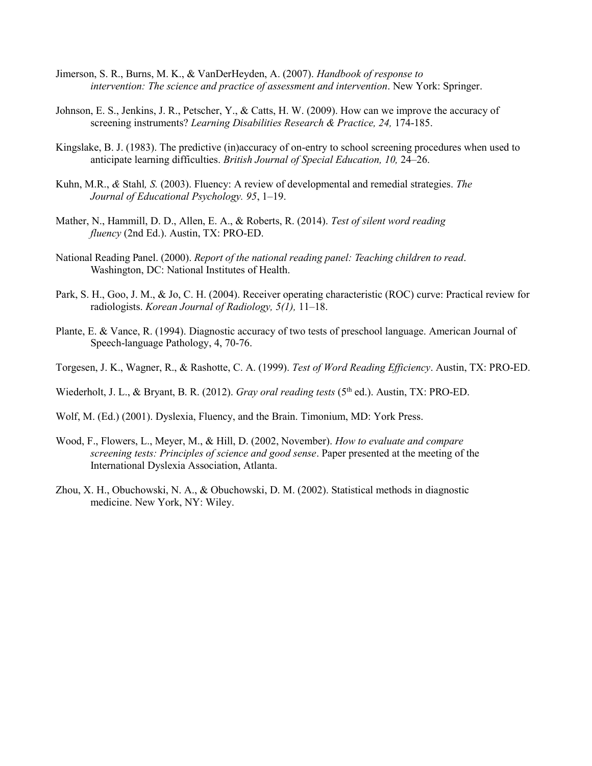- Jimerson, S. R., Burns, M. K., & VanDerHeyden, A. (2007). *Handbook of response to intervention: The science and practice of assessment and intervention*. New York: Springer.
- Johnson, E. S., Jenkins, J. R., Petscher, Y., & Catts, H. W. (2009). How can we improve the accuracy of screening instruments? *Learning Disabilities Research & Practice, 24,* 174-185.
- Kingslake, B. J. (1983). The predictive (in)accuracy of on-entry to school screening procedures when used to anticipate learning difficulties. *British Journal of Special Education, 10,* 24–26.
- Kuhn, M.R., *&* Stahl*, S.* (2003). Fluency: A review of developmental and remedial strategies. *The Journal of Educational Psychology. 95*, 1–19.
- Mather, N., Hammill, D. D., Allen, E. A., & Roberts, R. (2014). *Test of silent word reading fluency* (2nd Ed.). Austin, TX: PRO-ED.
- National Reading Panel. (2000). *Report of the national reading panel: Teaching children to read*. Washington, DC: National Institutes of Health.
- Park, S. H., Goo, J. M., & Jo, C. H. (2004). Receiver operating characteristic (ROC) curve: Practical review for radiologists. *Korean Journal of Radiology, 5(1),* 11–18.
- Plante, E. & Vance, R. (1994). Diagnostic accuracy of two tests of preschool language. American Journal of Speech-language Pathology, 4, 70-76.
- Torgesen, J. K., Wagner, R., & Rashotte, C. A. (1999). *Test of Word Reading Efficiency*. Austin, TX: PRO-ED.

Wiederholt, J. L., & Bryant, B. R. (2012). *Gray oral reading tests* (5<sup>th</sup> ed.). Austin, TX: PRO-ED.

- Wolf, M. (Ed.) (2001). Dyslexia, Fluency, and the Brain. Timonium, MD: York Press.
- Wood, F., Flowers, L., Meyer, M., & Hill, D. (2002, November). *How to evaluate and compare screening tests: Principles of science and good sense*. Paper presented at the meeting of the International Dyslexia Association, Atlanta.
- Zhou, X. H., Obuchowski, N. A., & Obuchowski, D. M. (2002). Statistical methods in diagnostic medicine. New York, NY: Wiley.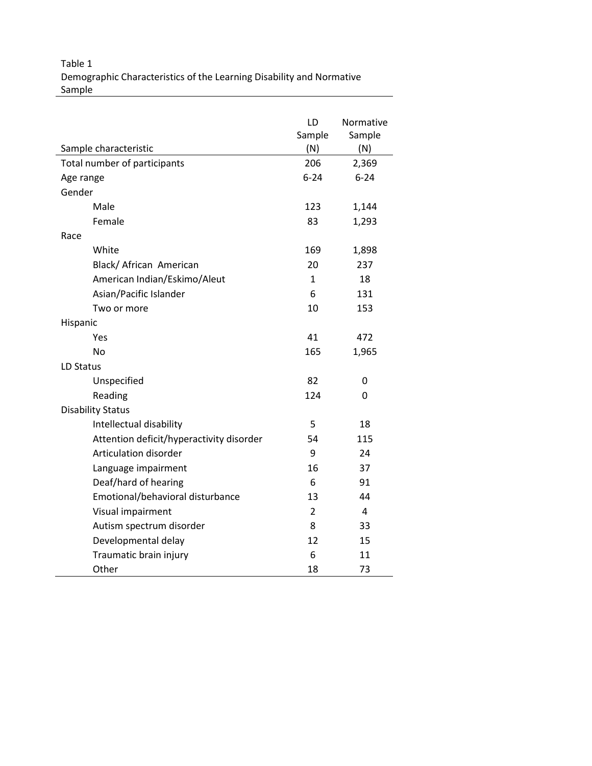Table 1 Demographic Characteristics of the Learning Disability and Normative Sample

|                                          | LD<br>Sample   | Normative<br>Sample |  |  |  |  |  |  |
|------------------------------------------|----------------|---------------------|--|--|--|--|--|--|
| Sample characteristic                    | (N)            | (N)                 |  |  |  |  |  |  |
| Total number of participants             | 206            | 2,369               |  |  |  |  |  |  |
| Age range                                | $6 - 24$       | $6 - 24$            |  |  |  |  |  |  |
| Gender                                   |                |                     |  |  |  |  |  |  |
| Male                                     | 123<br>1,144   |                     |  |  |  |  |  |  |
| Female                                   | 83             | 1,293               |  |  |  |  |  |  |
| Race                                     |                |                     |  |  |  |  |  |  |
| White                                    | 169            | 1,898               |  |  |  |  |  |  |
| Black/ African American                  | 20             | 237                 |  |  |  |  |  |  |
| American Indian/Eskimo/Aleut             | 1              | 18                  |  |  |  |  |  |  |
| Asian/Pacific Islander                   | 6              | 131                 |  |  |  |  |  |  |
| Two or more                              | 10             | 153                 |  |  |  |  |  |  |
| Hispanic                                 |                |                     |  |  |  |  |  |  |
| Yes                                      | 41             | 472                 |  |  |  |  |  |  |
| No                                       | 165            | 1,965               |  |  |  |  |  |  |
| LD Status                                |                |                     |  |  |  |  |  |  |
| Unspecified                              | 82             | 0                   |  |  |  |  |  |  |
| Reading                                  | 124            | 0                   |  |  |  |  |  |  |
| <b>Disability Status</b>                 |                |                     |  |  |  |  |  |  |
| Intellectual disability                  | 5              | 18                  |  |  |  |  |  |  |
| Attention deficit/hyperactivity disorder | 54             | 115                 |  |  |  |  |  |  |
| Articulation disorder                    | 9              | 24                  |  |  |  |  |  |  |
| Language impairment                      | 16             | 37                  |  |  |  |  |  |  |
| Deaf/hard of hearing                     | 6              | 91                  |  |  |  |  |  |  |
| Emotional/behavioral disturbance         | 13             | 44                  |  |  |  |  |  |  |
| Visual impairment                        | $\overline{2}$ | 4                   |  |  |  |  |  |  |
| Autism spectrum disorder                 | 8              | 33                  |  |  |  |  |  |  |
| Developmental delay                      | 12             | 15                  |  |  |  |  |  |  |
| Traumatic brain injury                   | 6              | 11                  |  |  |  |  |  |  |
| Other                                    | 18             | 73                  |  |  |  |  |  |  |